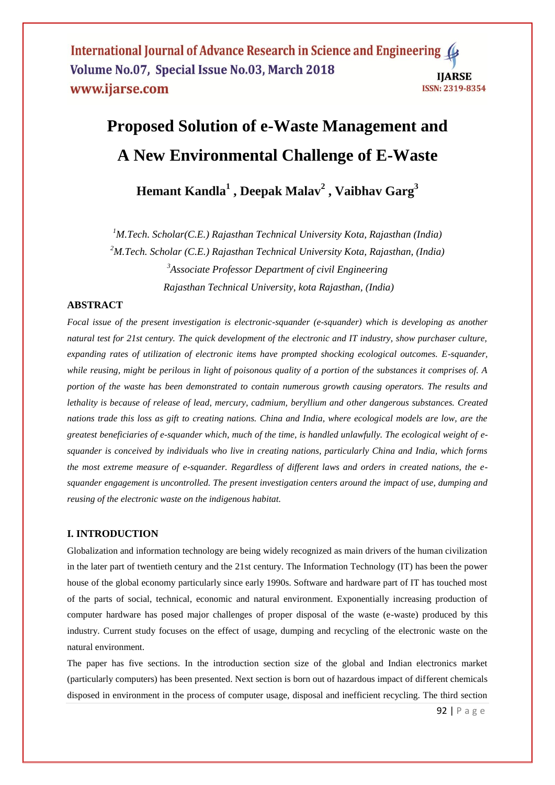# **Proposed Solution of e-Waste Management and A New Environmental Challenge of E-Waste**

**Hemant Kandla<sup>1</sup> , Deepak Malav<sup>2</sup> , Vaibhav Garg<sup>3</sup>**

*M.Tech. Scholar(C.E.) Rajasthan Technical University Kota, Rajasthan (India) M.Tech. Scholar (C.E.) Rajasthan Technical University Kota, Rajasthan, (India) Associate Professor Department of civil Engineering Rajasthan Technical University, kota Rajasthan, (India)*

# **ABSTRACT**

*Focal issue of the present investigation is electronic-squander (e-squander) which is developing as another natural test for 21st century. The quick development of the electronic and IT industry, show purchaser culture, expanding rates of utilization of electronic items have prompted shocking ecological outcomes. E-squander, while reusing, might be perilous in light of poisonous quality of a portion of the substances it comprises of. A portion of the waste has been demonstrated to contain numerous growth causing operators. The results and lethality is because of release of lead, mercury, cadmium, beryllium and other dangerous substances. Created nations trade this loss as gift to creating nations. China and India, where ecological models are low, are the greatest beneficiaries of e-squander which, much of the time, is handled unlawfully. The ecological weight of esquander is conceived by individuals who live in creating nations, particularly China and India, which forms the most extreme measure of e-squander. Regardless of different laws and orders in created nations, the esquander engagement is uncontrolled. The present investigation centers around the impact of use, dumping and reusing of the electronic waste on the indigenous habitat.*

## **I. INTRODUCTION**

Globalization and information technology are being widely recognized as main drivers of the human civilization in the later part of twentieth century and the 21st century. The Information Technology (IT) has been the power house of the global economy particularly since early 1990s. Software and hardware part of IT has touched most of the parts of social, technical, economic and natural environment. Exponentially increasing production of computer hardware has posed major challenges of proper disposal of the waste (e-waste) produced by this industry. Current study focuses on the effect of usage, dumping and recycling of the electronic waste on the natural environment.

The paper has five sections. In the introduction section size of the global and Indian electronics market (particularly computers) has been presented. Next section is born out of hazardous impact of different chemicals disposed in environment in the process of computer usage, disposal and inefficient recycling. The third section

92 | P a g e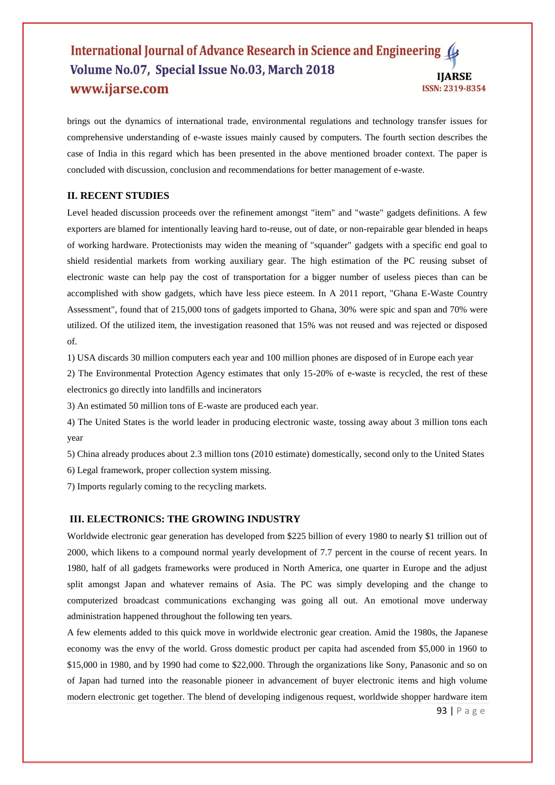brings out the dynamics of international trade, environmental regulations and technology transfer issues for comprehensive understanding of e-waste issues mainly caused by computers. The fourth section describes the case of India in this regard which has been presented in the above mentioned broader context. The paper is concluded with discussion, conclusion and recommendations for better management of e-waste.

# **II. RECENT STUDIES**

Level headed discussion proceeds over the refinement amongst "item" and "waste" gadgets definitions. A few exporters are blamed for intentionally leaving hard to-reuse, out of date, or non-repairable gear blended in heaps of working hardware. Protectionists may widen the meaning of "squander" gadgets with a specific end goal to shield residential markets from working auxiliary gear. The high estimation of the PC reusing subset of electronic waste can help pay the cost of transportation for a bigger number of useless pieces than can be accomplished with show gadgets, which have less piece esteem. In A 2011 report, "Ghana E-Waste Country Assessment", found that of 215,000 tons of gadgets imported to Ghana, 30% were spic and span and 70% were utilized. Of the utilized item, the investigation reasoned that 15% was not reused and was rejected or disposed of.

1) USA discards 30 million computers each year and 100 million phones are disposed of in Europe each year

2) The Environmental Protection Agency estimates that only 15-20% of e-waste is recycled, the rest of these electronics go directly into landfills and incinerators

3) An estimated 50 million tons of E-waste are produced each year.

4) The United States is the world leader in producing electronic waste, tossing away about 3 million tons each year

5) China already produces about 2.3 million tons (2010 estimate) domestically, second only to the United States

6) Legal framework, proper collection system missing.

7) Imports regularly coming to the recycling markets.

# **III. ELECTRONICS: THE GROWING INDUSTRY**

Worldwide electronic gear generation has developed from \$225 billion of every 1980 to nearly \$1 trillion out of 2000, which likens to a compound normal yearly development of 7.7 percent in the course of recent years. In 1980, half of all gadgets frameworks were produced in North America, one quarter in Europe and the adjust split amongst Japan and whatever remains of Asia. The PC was simply developing and the change to computerized broadcast communications exchanging was going all out. An emotional move underway administration happened throughout the following ten years.

A few elements added to this quick move in worldwide electronic gear creation. Amid the 1980s, the Japanese economy was the envy of the world. Gross domestic product per capita had ascended from \$5,000 in 1960 to \$15,000 in 1980, and by 1990 had come to \$22,000. Through the organizations like Sony, Panasonic and so on of Japan had turned into the reasonable pioneer in advancement of buyer electronic items and high volume modern electronic get together. The blend of developing indigenous request, worldwide shopper hardware item

93 | P a g e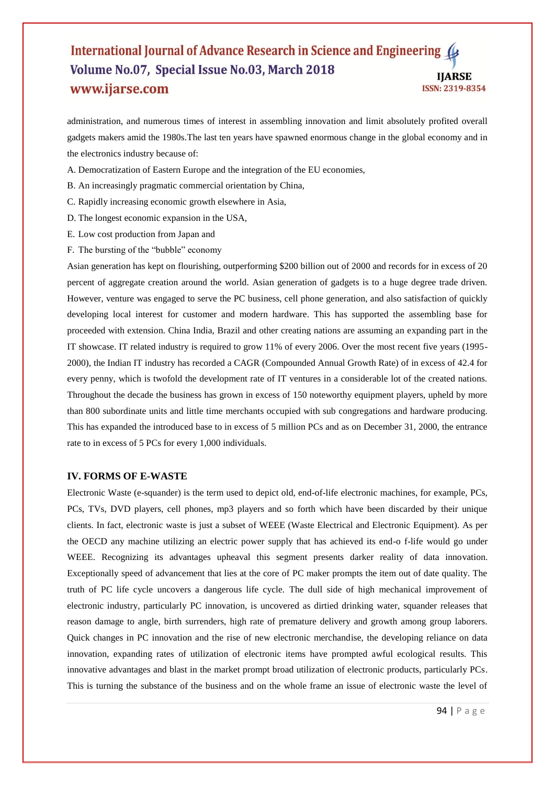administration, and numerous times of interest in assembling innovation and limit absolutely profited overall gadgets makers amid the 1980s.The last ten years have spawned enormous change in the global economy and in the electronics industry because of:

- A. Democratization of Eastern Europe and the integration of the EU economies,
- B. An increasingly pragmatic commercial orientation by China,
- C. Rapidly increasing economic growth elsewhere in Asia,
- D. The longest economic expansion in the USA,
- E. Low cost production from Japan and
- F. The bursting of the "bubble" economy

Asian generation has kept on flourishing, outperforming \$200 billion out of 2000 and records for in excess of 20 percent of aggregate creation around the world. Asian generation of gadgets is to a huge degree trade driven. However, venture was engaged to serve the PC business, cell phone generation, and also satisfaction of quickly developing local interest for customer and modern hardware. This has supported the assembling base for proceeded with extension. China India, Brazil and other creating nations are assuming an expanding part in the IT showcase. IT related industry is required to grow 11% of every 2006. Over the most recent five years (1995- 2000), the Indian IT industry has recorded a CAGR (Compounded Annual Growth Rate) of in excess of 42.4 for every penny, which is twofold the development rate of IT ventures in a considerable lot of the created nations. Throughout the decade the business has grown in excess of 150 noteworthy equipment players, upheld by more than 800 subordinate units and little time merchants occupied with sub congregations and hardware producing. This has expanded the introduced base to in excess of 5 million PCs and as on December 31, 2000, the entrance rate to in excess of 5 PCs for every 1,000 individuals.

### **IV. FORMS OF E-WASTE**

Electronic Waste (e-squander) is the term used to depict old, end-of-life electronic machines, for example, PCs, PCs, TVs, DVD players, cell phones, mp3 players and so forth which have been discarded by their unique clients. In fact, electronic waste is just a subset of WEEE (Waste Electrical and Electronic Equipment). As per the OECD any machine utilizing an electric power supply that has achieved its end-o f-life would go under WEEE. Recognizing its advantages upheaval this segment presents darker reality of data innovation. Exceptionally speed of advancement that lies at the core of PC maker prompts the item out of date quality. The truth of PC life cycle uncovers a dangerous life cycle. The dull side of high mechanical improvement of electronic industry, particularly PC innovation, is uncovered as dirtied drinking water, squander releases that reason damage to angle, birth surrenders, high rate of premature delivery and growth among group laborers. Quick changes in PC innovation and the rise of new electronic merchandise, the developing reliance on data innovation, expanding rates of utilization of electronic items have prompted awful ecological results. This innovative advantages and blast in the market prompt broad utilization of electronic products, particularly PCs. This is turning the substance of the business and on the whole frame an issue of electronic waste the level of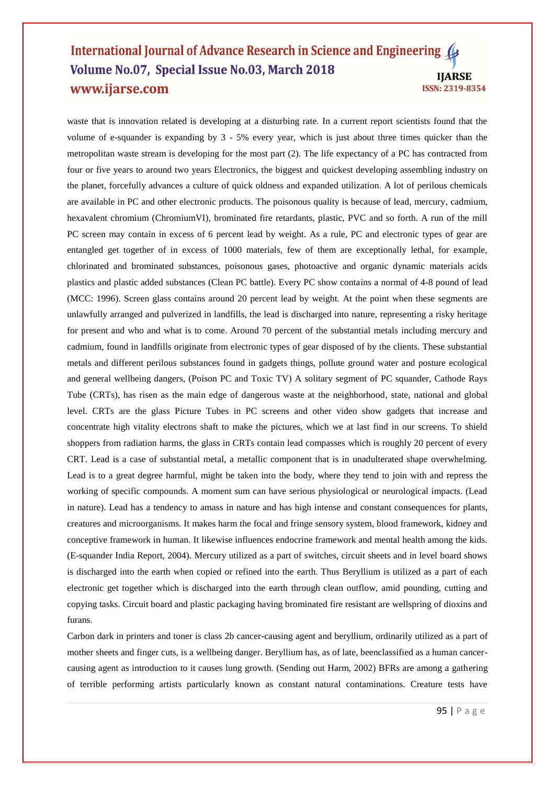waste that is innovation related is developing at a disturbing rate. In a current report scientists found that the volume of e-squander is expanding by 3 - 5% every year, which is just about three times quicker than the metropolitan waste stream is developing for the most part (2). The life expectancy of a PC has contracted from four or five years to around two years Electronics, the biggest and quickest developing assembling industry on the planet, forcefully advances a culture of quick oldness and expanded utilization. A lot of perilous chemicals are available in PC and other electronic products. The poisonous quality is because of lead, mercury, cadmium, hexavalent chromium (ChromiumVI), brominated fire retardants, plastic, PVC and so forth. A run of the mill PC screen may contain in excess of 6 percent lead by weight. As a rule, PC and electronic types of gear are entangled get together of in excess of 1000 materials, few of them are exceptionally lethal, for example, chlorinated and brominated substances, poisonous gases, photoactive and organic dynamic materials acids plastics and plastic added substances (Clean PC battle). Every PC show contains a normal of 4-8 pound of lead (MCC: 1996). Screen glass contains around 20 percent lead by weight. At the point when these segments are unlawfully arranged and pulverized in landfills, the lead is discharged into nature, representing a risky heritage for present and who and what is to come. Around 70 percent of the substantial metals including mercury and cadmium, found in landfills originate from electronic types of gear disposed of by the clients. These substantial metals and different perilous substances found in gadgets things, pollute ground water and posture ecological and general wellbeing dangers, (Poison PC and Toxic TV) A solitary segment of PC squander, Cathode Rays Tube (CRTs), has risen as the main edge of dangerous waste at the neighborhood, state, national and global level. CRTs are the glass Picture Tubes in PC screens and other video show gadgets that increase and concentrate high vitality electrons shaft to make the pictures, which we at last find in our screens. To shield shoppers from radiation harms, the glass in CRTs contain lead compasses which is roughly 20 percent of every CRT. Lead is a case of substantial metal, a metallic component that is in unadulterated shape overwhelming. Lead is to a great degree harmful, might be taken into the body, where they tend to join with and repress the working of specific compounds. A moment sum can have serious physiological or neurological impacts. (Lead in nature). Lead has a tendency to amass in nature and has high intense and constant consequences for plants, creatures and microorganisms. It makes harm the focal and fringe sensory system, blood framework, kidney and conceptive framework in human. It likewise influences endocrine framework and mental health among the kids. (E-squander India Report, 2004). Mercury utilized as a part of switches, circuit sheets and in level board shows is discharged into the earth when copied or refined into the earth. Thus Beryllium is utilized as a part of each electronic get together which is discharged into the earth through clean outflow, amid pounding, cutting and copying tasks. Circuit board and plastic packaging having brominated fire resistant are wellspring of dioxins and furans.

Carbon dark in printers and toner is class 2b cancer-causing agent and beryllium, ordinarily utilized as a part of mother sheets and finger cuts, is a wellbeing danger. Beryllium has, as of late, beenclassified as a human cancercausing agent as introduction to it causes lung growth. (Sending out Harm, 2002) BFRs are among a gathering of terrible performing artists particularly known as constant natural contaminations. Creature tests have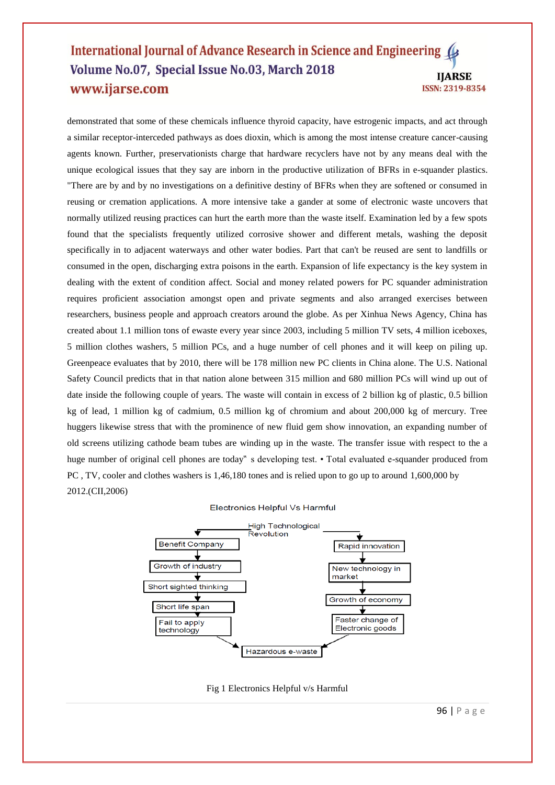demonstrated that some of these chemicals influence thyroid capacity, have estrogenic impacts, and act through a similar receptor-interceded pathways as does dioxin, which is among the most intense creature cancer-causing agents known. Further, preservationists charge that hardware recyclers have not by any means deal with the unique ecological issues that they say are inborn in the productive utilization of BFRs in e-squander plastics. "There are by and by no investigations on a definitive destiny of BFRs when they are softened or consumed in reusing or cremation applications. A more intensive take a gander at some of electronic waste uncovers that normally utilized reusing practices can hurt the earth more than the waste itself. Examination led by a few spots found that the specialists frequently utilized corrosive shower and different metals, washing the deposit specifically in to adjacent waterways and other water bodies. Part that can't be reused are sent to landfills or consumed in the open, discharging extra poisons in the earth. Expansion of life expectancy is the key system in dealing with the extent of condition affect. Social and money related powers for PC squander administration requires proficient association amongst open and private segments and also arranged exercises between researchers, business people and approach creators around the globe. As per Xinhua News Agency, China has created about 1.1 million tons of ewaste every year since 2003, including 5 million TV sets, 4 million iceboxes, 5 million clothes washers, 5 million PCs, and a huge number of cell phones and it will keep on piling up. Greenpeace evaluates that by 2010, there will be 178 million new PC clients in China alone. The U.S. National Safety Council predicts that in that nation alone between 315 million and 680 million PCs will wind up out of date inside the following couple of years. The waste will contain in excess of 2 billion kg of plastic, 0.5 billion kg of lead, 1 million kg of cadmium, 0.5 million kg of chromium and about 200,000 kg of mercury. Tree huggers likewise stress that with the prominence of new fluid gem show innovation, an expanding number of old screens utilizing cathode beam tubes are winding up in the waste. The transfer issue with respect to the a huge number of original cell phones are today" s developing test. • Total evaluated e-squander produced from PC , TV, cooler and clothes washers is 1,46,180 tones and is relied upon to go up to around 1,600,000 by 2012.(CII,2006)

#### Electronics Helpful Vs Harmful



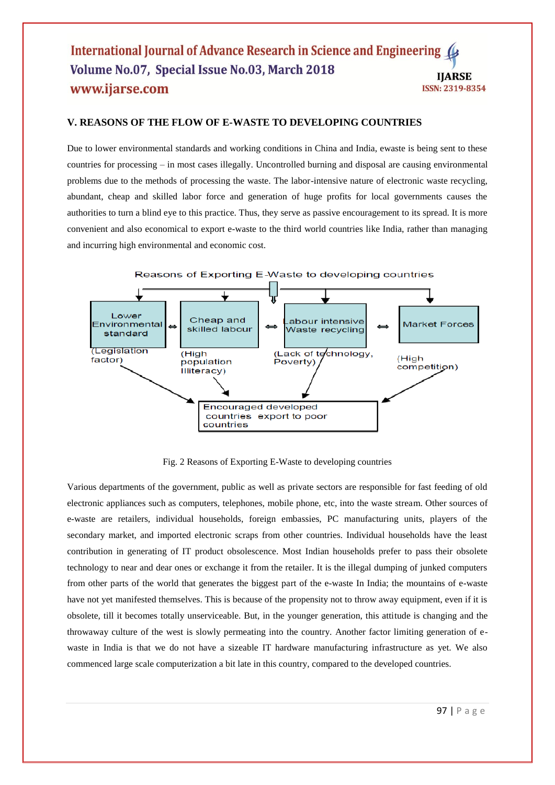# **V. REASONS OF THE FLOW OF E-WASTE TO DEVELOPING COUNTRIES**

Due to lower environmental standards and working conditions in China and India, ewaste is being sent to these countries for processing – in most cases illegally. Uncontrolled burning and disposal are causing environmental problems due to the methods of processing the waste. The labor-intensive nature of electronic waste recycling, abundant, cheap and skilled labor force and generation of huge profits for local governments causes the authorities to turn a blind eye to this practice. Thus, they serve as passive encouragement to its spread. It is more convenient and also economical to export e-waste to the third world countries like India, rather than managing and incurring high environmental and economic cost.



Fig. 2 Reasons of Exporting E-Waste to developing countries

Various departments of the government, public as well as private sectors are responsible for fast feeding of old electronic appliances such as computers, telephones, mobile phone, etc, into the waste stream. Other sources of e-waste are retailers, individual households, foreign embassies, PC manufacturing units, players of the secondary market, and imported electronic scraps from other countries. Individual households have the least contribution in generating of IT product obsolescence. Most Indian households prefer to pass their obsolete technology to near and dear ones or exchange it from the retailer. It is the illegal dumping of junked computers from other parts of the world that generates the biggest part of the e-waste In India; the mountains of e-waste have not yet manifested themselves. This is because of the propensity not to throw away equipment, even if it is obsolete, till it becomes totally unserviceable. But, in the younger generation, this attitude is changing and the throwaway culture of the west is slowly permeating into the country. Another factor limiting generation of ewaste in India is that we do not have a sizeable IT hardware manufacturing infrastructure as yet. We also commenced large scale computerization a bit late in this country, compared to the developed countries.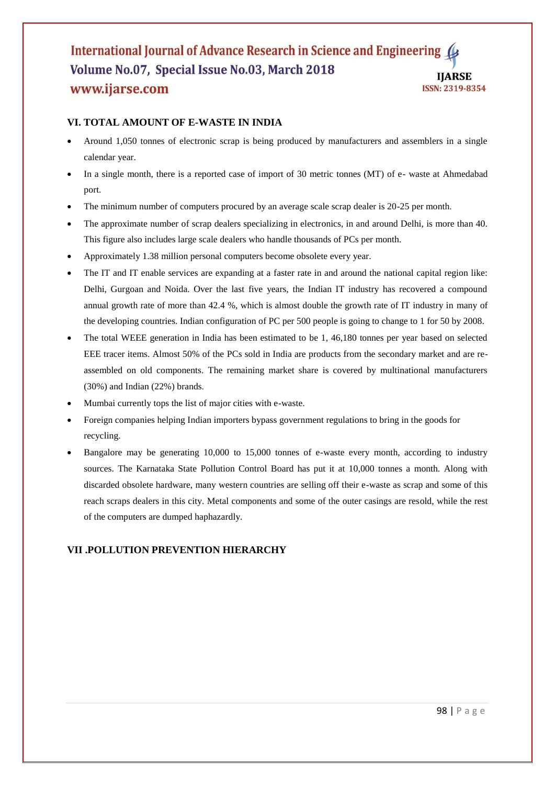# **VI. TOTAL AMOUNT OF E-WASTE IN INDIA**

- Around 1,050 tonnes of electronic scrap is being produced by manufacturers and assemblers in a single calendar year.
- In a single month, there is a reported case of import of 30 metric tonnes (MT) of e- waste at Ahmedabad port.
- The minimum number of computers procured by an average scale scrap dealer is 20-25 per month.
- The approximate number of scrap dealers specializing in electronics, in and around Delhi, is more than 40. This figure also includes large scale dealers who handle thousands of PCs per month.
- Approximately 1.38 million personal computers become obsolete every year.
- The IT and IT enable services are expanding at a faster rate in and around the national capital region like: Delhi, Gurgoan and Noida. Over the last five years, the Indian IT industry has recovered a compound annual growth rate of more than 42.4 %, which is almost double the growth rate of IT industry in many of the developing countries. Indian configuration of PC per 500 people is going to change to 1 for 50 by 2008.
- The total WEEE generation in India has been estimated to be 1, 46,180 tonnes per year based on selected EEE tracer items. Almost 50% of the PCs sold in India are products from the secondary market and are reassembled on old components. The remaining market share is covered by multinational manufacturers (30%) and Indian (22%) brands.
- Mumbai currently tops the list of major cities with e-waste.
- Foreign companies helping Indian importers bypass government regulations to bring in the goods for recycling.
- Bangalore may be generating 10,000 to 15,000 tonnes of e-waste every month, according to industry sources. The Karnataka State Pollution Control Board has put it at 10,000 tonnes a month. Along with discarded obsolete hardware, many western countries are selling off their e-waste as scrap and some of this reach scraps dealers in this city. Metal components and some of the outer casings are resold, while the rest of the computers are dumped haphazardly.

# **VII .POLLUTION PREVENTION HIERARCHY**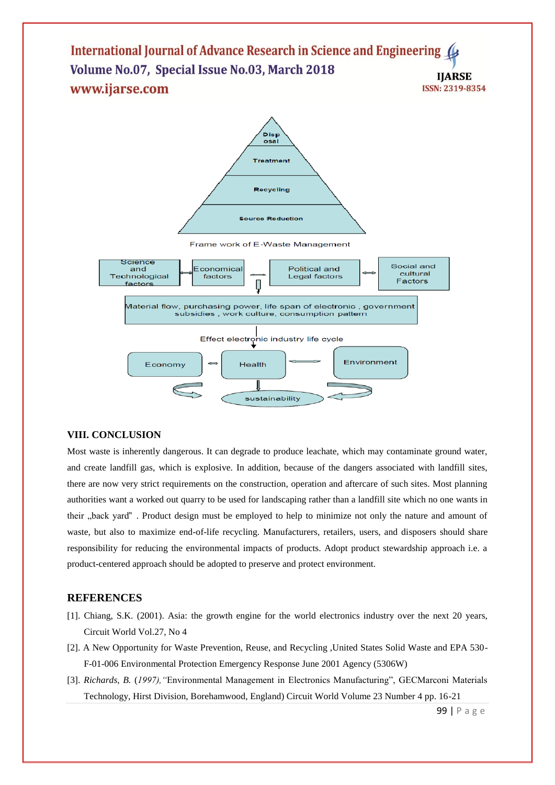

# **VIII. CONCLUSION**

Most waste is inherently dangerous. It can degrade to produce leachate, which may contaminate ground water, and create landfill gas, which is explosive. In addition, because of the dangers associated with landfill sites, there are now very strict requirements on the construction, operation and aftercare of such sites. Most planning authorities want a worked out quarry to be used for landscaping rather than a landfill site which no one wants in their "back yard" . Product design must be employed to help to minimize not only the nature and amount of waste, but also to maximize end-of-life recycling. Manufacturers, retailers, users, and disposers should share responsibility for reducing the environmental impacts of products. Adopt product stewardship approach i.e. a product-centered approach should be adopted to preserve and protect environment.

# **REFERENCES**

- [1]. Chiang, S.K. (2001). Asia: the growth engine for the world electronics industry over the next 20 years, Circuit World Vol.27, No 4
- [2]. A New Opportunity for Waste Prevention, Reuse, and Recycling ,United States Solid Waste and EPA 530- F-01-006 Environmental Protection Emergency Response June 2001 Agency (5306W)
- [3]. *Richards, B.* (*1997),"*Environmental Management in Electronics Manufacturing", GECMarconi Materials Technology, Hirst Division, Borehamwood, England) Circuit World Volume 23 Number 4 pp. 16-21

99 | P a g e